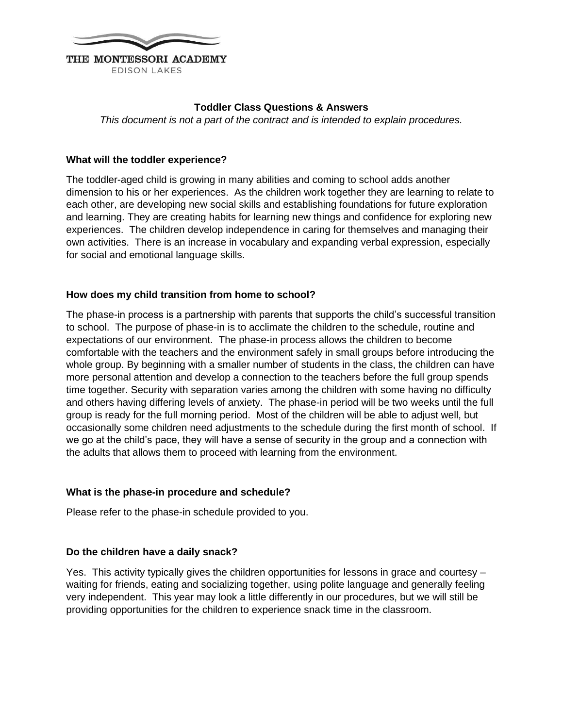

## **Toddler Class Questions & Answers**

*This document is not a part of the contract and is intended to explain procedures.*

## **What will the toddler experience?**

The toddler-aged child is growing in many abilities and coming to school adds another dimension to his or her experiences. As the children work together they are learning to relate to each other, are developing new social skills and establishing foundations for future exploration and learning. They are creating habits for learning new things and confidence for exploring new experiences. The children develop independence in caring for themselves and managing their own activities. There is an increase in vocabulary and expanding verbal expression, especially for social and emotional language skills.

## **How does my child transition from home to school?**

The phase-in process is a partnership with parents that supports the child's successful transition to school. The purpose of phase-in is to acclimate the children to the schedule, routine and expectations of our environment. The phase-in process allows the children to become comfortable with the teachers and the environment safely in small groups before introducing the whole group. By beginning with a smaller number of students in the class, the children can have more personal attention and develop a connection to the teachers before the full group spends time together. Security with separation varies among the children with some having no difficulty and others having differing levels of anxiety. The phase-in period will be two weeks until the full group is ready for the full morning period. Most of the children will be able to adjust well, but occasionally some children need adjustments to the schedule during the first month of school. If we go at the child's pace, they will have a sense of security in the group and a connection with the adults that allows them to proceed with learning from the environment.

#### **What is the phase-in procedure and schedule?**

Please refer to the phase-in schedule provided to you.

#### **Do the children have a daily snack?**

Yes. This activity typically gives the children opportunities for lessons in grace and courtesy – waiting for friends, eating and socializing together, using polite language and generally feeling very independent. This year may look a little differently in our procedures, but we will still be providing opportunities for the children to experience snack time in the classroom.